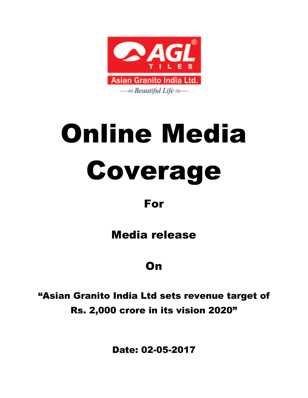

# Online Media Coverage

#### For

### Media release

### **On**

"Asian Granito India Ltd sets revenue target of Rs. 2,000 crore in its vision 2020"

Date: 02-05-2017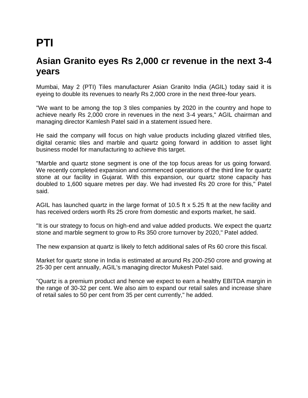# **PTI**

#### **Asian Granito eyes Rs 2,000 cr revenue in the next 3-4 years**

Mumbai, May 2 (PTI) Tiles manufacturer Asian Granito India (AGIL) today said it is eyeing to double its revenues to nearly Rs 2,000 crore in the next three-four years.

"We want to be among the top 3 tiles companies by 2020 in the country and hope to achieve nearly Rs 2,000 crore in revenues in the next 3-4 years," AGIL chairman and managing director Kamlesh Patel said in a statement issued here.

He said the company will focus on high value products including glazed vitrified tiles, digital ceramic tiles and marble and quartz going forward in addition to asset light business model for manufacturing to achieve this target.

"Marble and quartz stone segment is one of the top focus areas for us going forward. We recently completed expansion and commenced operations of the third line for quartz stone at our facility in Gujarat. With this expansion, our quartz stone capacity has doubled to 1,600 square metres per day. We had invested Rs 20 crore for this," Patel said.

AGIL has launched quartz in the large format of 10.5 ft x 5.25 ft at the new facility and has received orders worth Rs 25 crore from domestic and exports market, he said.

"It is our strategy to focus on high-end and value added products. We expect the quartz stone and marble segment to grow to Rs 350 crore turnover by 2020," Patel added.

The new expansion at quartz is likely to fetch additional sales of Rs 60 crore this fiscal.

Market for quartz stone in India is estimated at around Rs 200-250 crore and growing at 25-30 per cent annually, AGIL's managing director Mukesh Patel said.

"Quartz is a premium product and hence we expect to earn a healthy EBITDA margin in the range of 30-32 per cent. We also aim to expand our retail sales and increase share of retail sales to 50 per cent from 35 per cent currently," he added.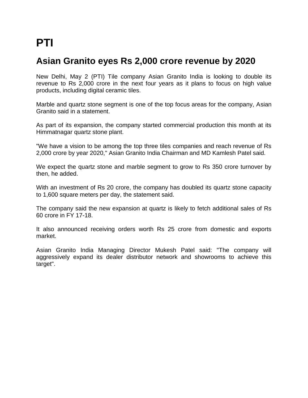# **PTI**

#### **Asian Granito eyes Rs 2,000 crore revenue by 2020**

New Delhi, May 2 (PTI) Tile company Asian Granito India is looking to double its revenue to Rs 2,000 crore in the next four years as it plans to focus on high value products, including digital ceramic tiles.

Marble and quartz stone segment is one of the top focus areas for the company, Asian Granito said in a statement.

As part of its expansion, the company started commercial production this month at its Himmatnagar quartz stone plant.

"We have a vision to be among the top three tiles companies and reach revenue of Rs 2,000 crore by year 2020," Asian Granito India Chairman and MD Kamlesh Patel said.

We expect the quartz stone and marble segment to grow to Rs 350 crore turnover by then, he added.

With an investment of Rs 20 crore, the company has doubled its quartz stone capacity to 1,600 square meters per day, the statement said.

The company said the new expansion at quartz is likely to fetch additional sales of Rs 60 crore in FY 17-18.

It also announced receiving orders worth Rs 25 crore from domestic and exports market.

Asian Granito India Managing Director Mukesh Patel said: "The company will aggressively expand its dealer distributor network and showrooms to achieve this target".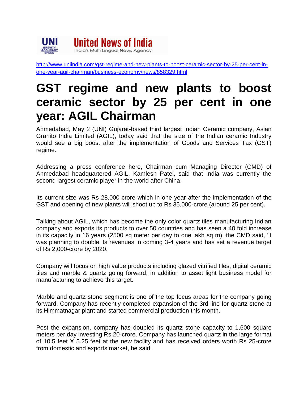

[http://www.uniindia.com/gst-regime-and-new-plants-to-boost-ceramic-sector-by-25-per-cent-in](http://www.uniindia.com/gst-regime-and-new-plants-to-boost-ceramic-sector-by-25-per-cent-in-one-year-agil-chairman/business-economy/news/858329.html)[one-year-agil-chairman/business-economy/news/858329.html](http://www.uniindia.com/gst-regime-and-new-plants-to-boost-ceramic-sector-by-25-per-cent-in-one-year-agil-chairman/business-economy/news/858329.html)

# **GST regime and new plants to boost ceramic sector by 25 per cent in one year: AGIL Chairman**

Ahmedabad, May 2 (UNI) Gujarat-based third largest Indian Ceramic company, Asian Granito India Limited (AGIL), today said that the size of the Indian ceramic Industry would see a big boost after the implementation of Goods and Services Tax (GST) regime.

Addressing a press conference here, Chairman cum Managing Director (CMD) of Ahmedabad headquartered AGIL, Kamlesh Patel, said that India was currently the second largest ceramic player in the world after China.

Its current size was Rs 28,000-crore which in one year after the implementation of the GST and opening of new plants will shoot up to Rs 35,000-crore (around 25 per cent).

Talking about AGIL, which has become the only color quartz tiles manufacturing Indian company and exports its products to over 50 countries and has seen a 40 fold increase in its capacity in 16 years (2500 sq meter per day to one lakh sq m), the CMD said, 'it was planning to double its revenues in coming 3-4 years and has set a revenue target of Rs 2,000-crore by 2020.

Company will focus on high value products including glazed vitrified tiles, digital ceramic tiles and marble & quartz going forward, in addition to asset light business model for manufacturing to achieve this target.

Marble and quartz stone segment is one of the top focus areas for the company going forward. Company has recently completed expansion of the 3rd line for quartz stone at its Himmatnagar plant and started commercial production this month.

Post the expansion, company has doubled its quartz stone capacity to 1,600 square meters per day investing Rs 20-crore. Company has launched quartz in the large format of 10.5 feet X 5.25 feet at the new facility and has received orders worth Rs 25-crore from domestic and exports market, he said.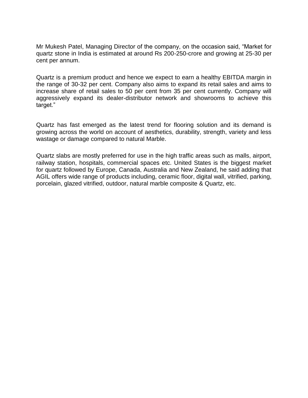Mr Mukesh Patel, Managing Director of the company, on the occasion said, "Market for quartz stone in India is estimated at around Rs 200-250-crore and growing at 25-30 per cent per annum.

Quartz is a premium product and hence we expect to earn a healthy EBITDA margin in the range of 30-32 per cent. Company also aims to expand its retail sales and aims to increase share of retail sales to 50 per cent from 35 per cent currently. Company will aggressively expand its dealer-distributor network and showrooms to achieve this target."

Quartz has fast emerged as the latest trend for flooring solution and its demand is growing across the world on account of aesthetics, durability, strength, variety and less wastage or damage compared to natural Marble.

Quartz slabs are mostly preferred for use in the high traffic areas such as malls, airport, railway station, hospitals, commercial spaces etc. United States is the biggest market for quartz followed by Europe, Canada, Australia and New Zealand, he said adding that AGIL offers wide range of products including, ceramic floor, digital wall, vitrified, parking, porcelain, glazed vitrified, outdoor, natural marble composite & Quartz, etc.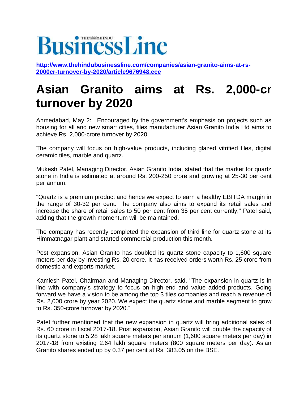## **BusinessLine O** THESMONHINDU

**[http://www.thehindubusinessline.com/companies/asian-granito-aims-at-rs-](http://www.thehindubusinessline.com/companies/asian-granito-aims-at-rs-2000cr-turnover-by-2020/article9676948.ece)[2000cr-turnover-by-2020/article9676948.ece](http://www.thehindubusinessline.com/companies/asian-granito-aims-at-rs-2000cr-turnover-by-2020/article9676948.ece)**

# **Asian Granito aims at Rs. 2,000-cr turnover by 2020**

Ahmedabad, May 2: Encouraged by the government's emphasis on projects such as housing for all and new smart cities, tiles manufacturer Asian Granito India Ltd aims to achieve Rs. 2,000-crore turnover by 2020.

The company will focus on high-value products, including glazed vitrified tiles, digital ceramic tiles, marble and quartz.

Mukesh Patel, Managing Director, Asian Granito India, stated that the market for quartz stone in India is estimated at around Rs. 200-250 crore and growing at 25-30 per cent per annum.

"Quartz is a premium product and hence we expect to earn a healthy EBITDA margin in the range of 30-32 per cent. The company also aims to expand its retail sales and increase the share of retail sales to 50 per cent from 35 per cent currently," Patel said, adding that the growth momentum will be maintained.

The company has recently completed the expansion of third line for quartz stone at its Himmatnagar plant and started commercial production this month.

Post expansion, Asian Granito has doubled its quartz stone capacity to 1,600 square meters per day by investing Rs. 20 crore. It has received orders worth Rs. 25 crore from domestic and exports market.

Kamlesh Patel, Chairman and Managing Director, said, "The expansion in quartz is in line with company's strategy to focus on high-end and value added products. Going forward we have a vision to be among the top 3 tiles companies and reach a revenue of Rs. 2,000 crore by year 2020. We expect the quartz stone and marble segment to grow to Rs. 350-crore turnover by 2020."

Patel further mentioned that the new expansion in quartz will bring additional sales of Rs. 60 crore in fiscal 2017-18. Post expansion, Asian Granito will double the capacity of its quartz stone to 5.28 lakh square meters per annum (1,600 square meters per day) in 2017-18 from existing 2.64 lakh square meters (800 square meters per day). Asian Granito shares ended up by 0.37 per cent at Rs. 383.05 on the BSE.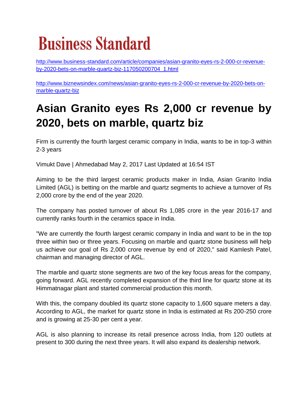# **Business Standard**

[http://www.business-standard.com/article/companies/asian-granito-eyes-rs-2-000-cr-revenue](http://www.business-standard.com/article/companies/asian-granito-eyes-rs-2-000-cr-revenue-by-2020-bets-on-marble-quartz-biz-117050200704_1.html)[by-2020-bets-on-marble-quartz-biz-117050200704\\_1.html](http://www.business-standard.com/article/companies/asian-granito-eyes-rs-2-000-cr-revenue-by-2020-bets-on-marble-quartz-biz-117050200704_1.html)

[http://www.biznewsindex.com/news/asian-granito-eyes-rs-2-000-cr-revenue-by-2020-bets-on](http://www.biznewsindex.com/news/asian-granito-eyes-rs-2-000-cr-revenue-by-2020-bets-on-marble-quartz-biz)[marble-quartz-biz](http://www.biznewsindex.com/news/asian-granito-eyes-rs-2-000-cr-revenue-by-2020-bets-on-marble-quartz-biz)

# **Asian Granito eyes Rs 2,000 cr revenue by 2020, bets on marble, quartz biz**

Firm is currently the fourth largest ceramic company in India, wants to be in top-3 within 2-3 years

Vimukt Dave | Ahmedabad May 2, 2017 Last Updated at 16:54 IST

Aiming to be the third largest ceramic products maker in India, Asian Granito India Limited (AGL) is betting on the marble and quartz segments to achieve a turnover of Rs 2,000 crore by the end of the year 2020.

The company has posted turnover of about Rs 1,085 crore in the year 2016-17 and currently ranks fourth in the ceramics space in India.

"We are currently the fourth largest ceramic company in India and want to be in the top three within two or three years. Focusing on marble and quartz stone business will help us achieve our goal of Rs 2,000 crore revenue by end of 2020," said Kamlesh Patel, chairman and managing director of AGL.

The marble and quartz stone segments are two of the key focus areas for the company, going forward. AGL recently completed expansion of the third line for quartz stone at its Himmatnagar plant and started commercial production this month.

With this, the company doubled its quartz stone capacity to 1,600 square meters a day. According to AGL, the market for quartz stone in India is estimated at Rs 200-250 crore and is growing at 25-30 per cent a year.

AGL is also planning to increase its retail presence across India, from 120 outlets at present to 300 during the next three years. It will also expand its dealership network.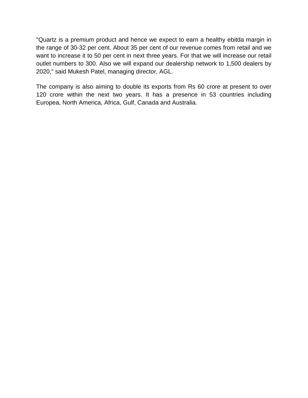"Quartz is a premium product and hence we expect to earn a healthy ebitda margin in the range of 30-32 per cent. About 35 per cent of our revenue comes from retail and we want to increase it to 50 per cent in next three years. For that we will increase our retail outlet numbers to 300. Also we will expand our dealership network to 1,500 dealers by 2020," said Mukesh Patel, managing director, AGL.

The company is also aiming to double its exports from Rs 60 crore at present to over 120 crore within the next two years. It has a presence in 53 countries including Europea, North America, Africa, Gulf, Canada and Australia.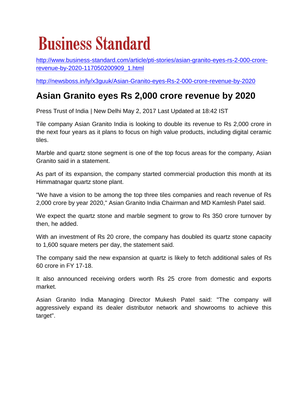# **Business Standard**

[http://www.business-standard.com/article/pti-stories/asian-granito-eyes-rs-2-000-crore](http://www.business-standard.com/article/pti-stories/asian-granito-eyes-rs-2-000-crore-revenue-by-2020-117050200909_1.html)[revenue-by-2020-117050200909\\_1.html](http://www.business-standard.com/article/pti-stories/asian-granito-eyes-rs-2-000-crore-revenue-by-2020-117050200909_1.html)

<http://newsboss.in/ly/x3guuk/Asian-Granito-eyes-Rs-2-000-crore-revenue-by-2020>

#### **Asian Granito eyes Rs 2,000 crore revenue by 2020**

Press Trust of India | New Delhi May 2, 2017 Last Updated at 18:42 IST

Tile company Asian Granito India is looking to double its revenue to Rs 2,000 crore in the next four years as it plans to focus on high value products, including digital ceramic tiles.

Marble and quartz stone segment is one of the top focus areas for the company, Asian Granito said in a statement.

As part of its expansion, the company started commercial production this month at its Himmatnagar quartz stone plant.

"We have a vision to be among the top three tiles companies and reach revenue of Rs 2,000 crore by year 2020," Asian Granito India Chairman and MD Kamlesh Patel said.

We expect the quartz stone and marble segment to grow to Rs 350 crore turnover by then, he added.

With an investment of Rs 20 crore, the company has doubled its quartz stone capacity to 1,600 square meters per day, the statement said.

The company said the new expansion at quartz is likely to fetch additional sales of Rs 60 crore in FY 17-18.

It also announced receiving orders worth Rs 25 crore from domestic and exports market.

Asian Granito India Managing Director Mukesh Patel said: "The company will aggressively expand its dealer distributor network and showrooms to achieve this target".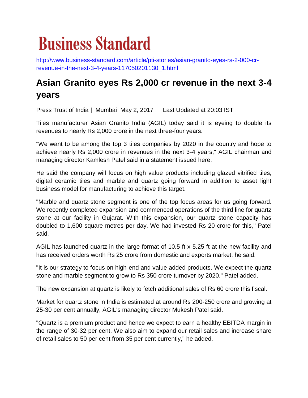# **Business Standard**

[http://www.business-standard.com/article/pti-stories/asian-granito-eyes-rs-2-000-cr](http://www.business-standard.com/article/pti-stories/asian-granito-eyes-rs-2-000-cr-revenue-in-the-next-3-4-years-117050201130_1.html)[revenue-in-the-next-3-4-years-117050201130\\_1.html](http://www.business-standard.com/article/pti-stories/asian-granito-eyes-rs-2-000-cr-revenue-in-the-next-3-4-years-117050201130_1.html)

#### **Asian Granito eyes Rs 2,000 cr revenue in the next 3-4 years**

Press Trust of India | Mumbai May 2, 2017 Last Updated at 20:03 IST

Tiles manufacturer Asian Granito India (AGIL) today said it is eyeing to double its revenues to nearly Rs 2,000 crore in the next three-four years.

"We want to be among the top 3 tiles companies by 2020 in the country and hope to achieve nearly Rs 2,000 crore in revenues in the next 3-4 years," AGIL chairman and managing director Kamlesh Patel said in a statement issued here.

He said the company will focus on high value products including glazed vitrified tiles, digital ceramic tiles and marble and quartz going forward in addition to asset light business model for manufacturing to achieve this target.

"Marble and quartz stone segment is one of the top focus areas for us going forward. We recently completed expansion and commenced operations of the third line for quartz stone at our facility in Gujarat. With this expansion, our quartz stone capacity has doubled to 1,600 square metres per day. We had invested Rs 20 crore for this," Patel said.

AGIL has launched quartz in the large format of 10.5 ft x 5.25 ft at the new facility and has received orders worth Rs 25 crore from domestic and exports market, he said.

"It is our strategy to focus on high-end and value added products. We expect the quartz stone and marble segment to grow to Rs 350 crore turnover by 2020," Patel added.

The new expansion at quartz is likely to fetch additional sales of Rs 60 crore this fiscal.

Market for quartz stone in India is estimated at around Rs 200-250 crore and growing at 25-30 per cent annually, AGIL's managing director Mukesh Patel said.

"Quartz is a premium product and hence we expect to earn a healthy EBITDA margin in the range of 30-32 per cent. We also aim to expand our retail sales and increase share of retail sales to 50 per cent from 35 per cent currently," he added.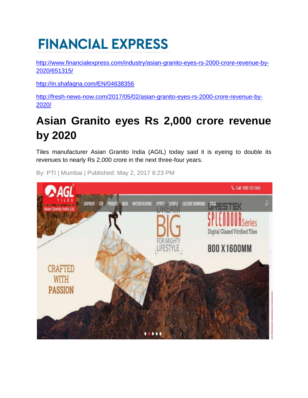# **FINANCIAL EXPRESS**

[http://www.financialexpress.com/industry/asian-granito-eyes-rs-2000-crore-revenue-by-](http://www.financialexpress.com/industry/asian-granito-eyes-rs-2000-crore-revenue-by-2020/651315/)[2020/651315/](http://www.financialexpress.com/industry/asian-granito-eyes-rs-2000-crore-revenue-by-2020/651315/)

<http://in.shafaqna.com/EN/04638356>

[http://fresh-news-now.com/2017/05/02/asian-granito-eyes-rs-2000-crore-revenue-by-](http://fresh-news-now.com/2017/05/02/asian-granito-eyes-rs-2000-crore-revenue-by-2020/)[2020/](http://fresh-news-now.com/2017/05/02/asian-granito-eyes-rs-2000-crore-revenue-by-2020/)

# **Asian Granito eyes Rs 2,000 crore revenue by 2020**

Tiles manufacturer Asian Granito India (AGIL) today said it is eyeing to double its revenues to nearly Rs 2,000 crore in the next three-four years.



By: PTI | Mumbai | Published: May 2, 2017 8:23 PM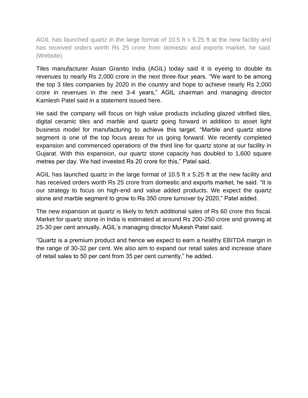AGIL has launched quartz in the large format of 10.5 ft x 5.25 ft at the new facility and has received orders worth Rs 25 crore from domestic and exports market, he said. (Website)

Tiles manufacturer Asian Granito India (AGIL) today said it is eyeing to double its revenues to nearly Rs 2,000 crore in the next three-four years. "We want to be among the top 3 tiles companies by 2020 in the country and hope to achieve nearly Rs 2,000 crore in revenues in the next 3-4 years," AGIL chairman and managing director Kamlesh Patel said in a statement issued here.

He said the company will focus on high value products including glazed vitrified tiles, digital ceramic tiles and marble and quartz going forward in addition to asset light business model for manufacturing to achieve this target. "Marble and quartz stone segment is one of the top focus areas for us going forward. We recently completed expansion and commenced operations of the third line for quartz stone at our facility in Gujarat. With this expansion, our quartz stone capacity has doubled to 1,600 square metres per day. We had invested Rs 20 crore for this," Patel said.

AGIL has launched quartz in the large format of 10.5 ft x 5.25 ft at the new facility and has received orders worth Rs 25 crore from domestic and exports market, he said. "It is our strategy to focus on high-end and value added products. We expect the quartz stone and marble segment to grow to Rs 350 crore turnover by 2020," Patel added.

The new expansion at quartz is likely to fetch additional sales of Rs 60 crore this fiscal. Market for quartz stone in India is estimated at around Rs 200-250 crore and growing at 25-30 per cent annually, AGIL's managing director Mukesh Patel said.

"Quartz is a premium product and hence we expect to earn a healthy EBITDA margin in the range of 30-32 per cent. We also aim to expand our retail sales and increase share of retail sales to 50 per cent from 35 per cent currently," he added.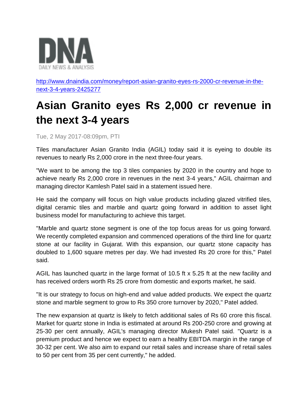

[http://www.dnaindia.com/money/report-asian-granito-eyes-rs-2000-cr-revenue-in-the](http://www.dnaindia.com/money/report-asian-granito-eyes-rs-2000-cr-revenue-in-the-next-3-4-years-2425277)[next-3-4-years-2425277](http://www.dnaindia.com/money/report-asian-granito-eyes-rs-2000-cr-revenue-in-the-next-3-4-years-2425277)

# **Asian Granito eyes Rs 2,000 cr revenue in the next 3-4 years**

Tue, 2 May 2017-08:09pm, PTI

Tiles manufacturer Asian Granito India (AGIL) today said it is eyeing to double its revenues to nearly Rs 2,000 crore in the next three-four years.

"We want to be among the top 3 tiles companies by 2020 in the country and hope to achieve nearly Rs 2,000 crore in revenues in the next 3-4 years," AGIL chairman and managing director Kamlesh Patel said in a statement issued here.

He said the company will focus on high value products including glazed vitrified tiles, digital ceramic tiles and marble and quartz going forward in addition to asset light business model for manufacturing to achieve this target.

"Marble and quartz stone segment is one of the top focus areas for us going forward. We recently completed expansion and commenced operations of the third line for quartz stone at our facility in Gujarat. With this expansion, our quartz stone capacity has doubled to 1,600 square metres per day. We had invested Rs 20 crore for this," Patel said.

AGIL has launched quartz in the large format of 10.5 ft x 5.25 ft at the new facility and has received orders worth Rs 25 crore from domestic and exports market, he said.

"It is our strategy to focus on high-end and value added products. We expect the quartz stone and marble segment to grow to Rs 350 crore turnover by 2020," Patel added.

The new expansion at quartz is likely to fetch additional sales of Rs 60 crore this fiscal. Market for quartz stone in India is estimated at around Rs 200-250 crore and growing at 25-30 per cent annually, AGIL's managing director Mukesh Patel said. "Quartz is a premium product and hence we expect to earn a healthy EBITDA margin in the range of 30-32 per cent. We also aim to expand our retail sales and increase share of retail sales to 50 per cent from 35 per cent currently," he added.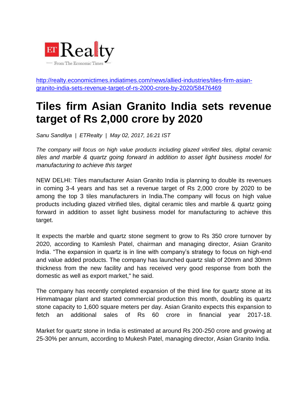![](_page_13_Picture_0.jpeg)

[http://realty.economictimes.indiatimes.com/news/allied-industries/tiles-firm-asian](http://realty.economictimes.indiatimes.com/news/allied-industries/tiles-firm-asian-granito-india-sets-revenue-target-of-rs-2000-crore-by-2020/58476469)[granito-india-sets-revenue-target-of-rs-2000-crore-by-2020/58476469](http://realty.economictimes.indiatimes.com/news/allied-industries/tiles-firm-asian-granito-india-sets-revenue-target-of-rs-2000-crore-by-2020/58476469)

### **Tiles firm Asian Granito India sets revenue target of Rs 2,000 crore by 2020**

*Sanu Sandilya | ETRealty | May 02, 2017, 16:21 IST*

*The company will focus on high value products including glazed vitrified tiles, digital ceramic tiles and marble & quartz going forward in addition to asset light business model for manufacturing to achieve this target*

NEW DELHI: Tiles manufacturer Asian Granito India is planning to double its revenues in coming 3-4 years and has set a revenue target of Rs 2,000 crore by 2020 to be among the top 3 tiles manufacturers in India.The company will focus on high value products including glazed vitrified tiles, digital ceramic tiles and marble & quartz going forward in addition to asset light business model for manufacturing to achieve this target.

It expects the marble and quartz stone segment to grow to Rs 350 crore turnover by 2020, according to Kamlesh Patel, chairman and managing director, Asian Granito India. "The expansion in quartz is in line with company's strategy to focus on high-end and value added products. The company has launched quartz slab of 20mm and 30mm thickness from the new facility and has received very good response from both the domestic as well as export market," he said.

The company has recently completed expansion of the third line for quartz stone at its Himmatnagar plant and started commercial production this month, doubling its quartz stone capacity to 1,600 square meters per day. Asian Granito expects this expansion to fetch an additional sales of Rs 60 crore in financial year 2017-18.

Market for quartz stone in India is estimated at around Rs 200-250 crore and growing at 25-30% per annum, according to Mukesh Patel, managing director, Asian Granito India.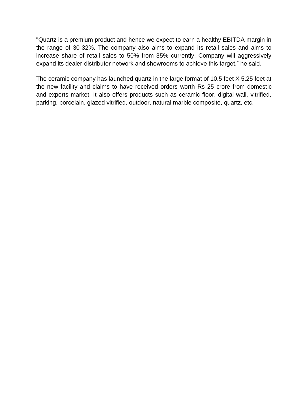"Quartz is a premium product and hence we expect to earn a healthy EBITDA margin in the range of 30-32%. The company also aims to expand its retail sales and aims to increase share of retail sales to 50% from 35% currently. Company will aggressively expand its dealer-distributor network and showrooms to achieve this target," he said.

The ceramic company has launched quartz in the large format of 10.5 feet X 5.25 feet at the new facility and claims to have received orders worth Rs 25 crore from domestic and exports market. It also offers products such as ceramic floor, digital wall, vitrified, parking, porcelain, glazed vitrified, outdoor, natural marble composite, quartz, etc.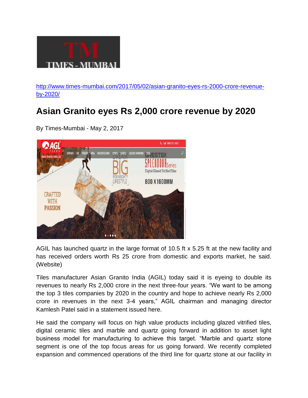![](_page_15_Picture_0.jpeg)

[http://www.times-mumbai.com/2017/05/02/asian-granito-eyes-rs-2000-crore-revenue](http://www.times-mumbai.com/2017/05/02/asian-granito-eyes-rs-2000-crore-revenue-by-2020/)[by-2020/](http://www.times-mumbai.com/2017/05/02/asian-granito-eyes-rs-2000-crore-revenue-by-2020/)

#### **Asian Granito eyes Rs 2,000 crore revenue by 2020**

By Times-Mumbai - May 2, 2017

![](_page_15_Picture_4.jpeg)

AGIL has launched quartz in the large format of 10.5 ft x 5.25 ft at the new facility and has received orders worth Rs 25 crore from domestic and exports market, he said. (Website)

Tiles manufacturer Asian Granito India (AGIL) today said it is eyeing to double its revenues to nearly Rs 2,000 crore in the next three-four years. "We want to be among the top 3 tiles companies by 2020 in the country and hope to achieve nearly Rs 2,000 crore in revenues in the next 3-4 years," AGIL chairman and managing director Kamlesh Patel said in a statement issued here.

He said the company will focus on high value products including glazed vitrified tiles, digital ceramic tiles and marble and quartz going forward in addition to asset light business model for manufacturing to achieve this target. "Marble and quartz stone segment is one of the top focus areas for us going forward. We recently completed expansion and commenced operations of the third line for quartz stone at our facility in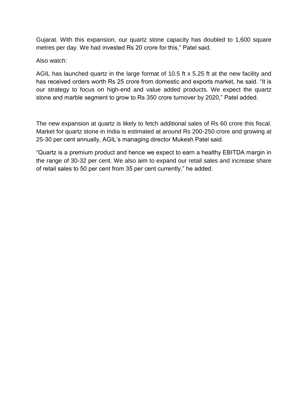Gujarat. With this expansion, our quartz stone capacity has doubled to 1,600 square metres per day. We had invested Rs 20 crore for this," Patel said.

Also watch:

AGIL has launched quartz in the large format of 10.5 ft x 5.25 ft at the new facility and has received orders worth Rs 25 crore from domestic and exports market, he said. "It is our strategy to focus on high-end and value added products. We expect the quartz stone and marble segment to grow to Rs 350 crore turnover by 2020," Patel added.

The new expansion at quartz is likely to fetch additional sales of Rs 60 crore this fiscal. Market for quartz stone in India is estimated at around Rs 200-250 crore and growing at 25-30 per cent annually, AGIL's managing director Mukesh Patel said.

"Quartz is a premium product and hence we expect to earn a healthy EBITDA margin in the range of 30-32 per cent. We also aim to expand our retail sales and increase share of retail sales to 50 per cent from 35 per cent currently," he added.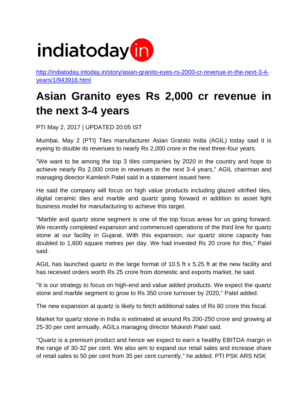![](_page_17_Picture_0.jpeg)

[http://indiatoday.intoday.in/story/asian-granito-eyes-rs-2000-cr-revenue-in-the-next-3-4](http://indiatoday.intoday.in/story/asian-granito-eyes-rs-2000-cr-revenue-in-the-next-3-4-years/1/943916.html) [years/1/943916.html](http://indiatoday.intoday.in/story/asian-granito-eyes-rs-2000-cr-revenue-in-the-next-3-4-years/1/943916.html)

# **Asian Granito eyes Rs 2,000 cr revenue in the next 3-4 years**

PTI May 2, 2017 | UPDATED 20:05 IST

Mumbai, May 2 (PTI) Tiles manufacturer Asian Granito India (AGIL) today said it is eyeing to double its revenues to nearly Rs 2,000 crore in the next three-four years.

"We want to be among the top 3 tiles companies by 2020 in the country and hope to achieve nearly Rs 2,000 crore in revenues in the next 3-4 years," AGIL chairman and managing director Kamlesh Patel said in a statement issued here.

He said the company will focus on high value products including glazed vitrified tiles, digital ceramic tiles and marble and quartz going forward in addition to asset light business model for manufacturing to achieve this target.

"Marble and quartz stone segment is one of the top focus areas for us going forward. We recently completed expansion and commenced operations of the third line for quartz stone at our facility in Gujarat. With this expansion, our quartz stone capacity has doubled to 1,600 square metres per day. We had invested Rs 20 crore for this," Patel said.

AGIL has launched quartz in the large format of 10.5 ft x 5.25 ft at the new facility and has received orders worth Rs 25 crore from domestic and exports market, he said.

"It is our strategy to focus on high-end and value added products. We expect the quartz stone and marble segment to grow to Rs 350 crore turnover by 2020," Patel added.

The new expansion at quartz is likely to fetch additional sales of Rs 60 crore this fiscal.

Market for quartz stone in India is estimated at around Rs 200-250 crore and growing at 25-30 per cent annually, AGILs managing director Mukesh Patel said.

"Quartz is a premium product and hence we expect to earn a healthy EBITDA margin in the range of 30-32 per cent. We also aim to expand our retail sales and increase share of retail sales to 50 per cent from 35 per cent currently," he added. PTI PSK ARS NSK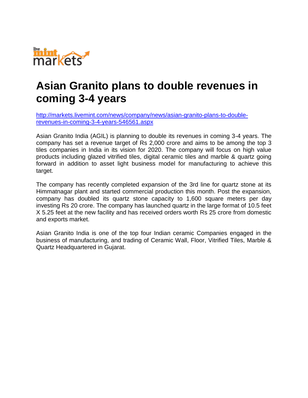![](_page_18_Picture_0.jpeg)

### **Asian Granito plans to double revenues in coming 3-4 years**

[http://markets.livemint.com/news/company/news/asian-granito-plans-to-double](http://markets.livemint.com/news/company/news/asian-granito-plans-to-double-revenues-in-coming-3-4-years-546561.aspx)[revenues-in-coming-3-4-years-546561.aspx](http://markets.livemint.com/news/company/news/asian-granito-plans-to-double-revenues-in-coming-3-4-years-546561.aspx)

Asian Granito India (AGIL) is planning to double its revenues in coming 3-4 years. The company has set a revenue target of Rs 2,000 crore and aims to be among the top 3 tiles companies in India in its vision for 2020. The company will focus on high value products including glazed vitrified tiles, digital ceramic tiles and marble & quartz going forward in addition to asset light business model for manufacturing to achieve this target.

The company has recently completed expansion of the 3rd line for quartz stone at its Himmatnagar plant and started commercial production this month. Post the expansion, company has doubled its quartz stone capacity to 1,600 square meters per day investing Rs 20 crore. The company has launched quartz in the large format of 10.5 feet X 5.25 feet at the new facility and has received orders worth Rs 25 crore from domestic and exports market.

Asian Granito India is one of the top four Indian ceramic Companies engaged in the business of manufacturing, and trading of Ceramic Wall, Floor, Vitrified Tiles, Marble & Quartz Headquartered in Gujarat.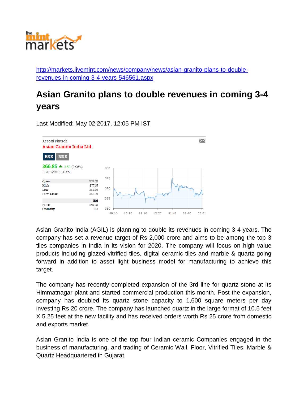![](_page_19_Picture_0.jpeg)

[http://markets.livemint.com/news/company/news/asian-granito-plans-to-double](http://markets.livemint.com/news/company/news/asian-granito-plans-to-double-revenues-in-coming-3-4-years-546561.aspx)[revenues-in-coming-3-4-years-546561.aspx](http://markets.livemint.com/news/company/news/asian-granito-plans-to-double-revenues-in-coming-3-4-years-546561.aspx)

#### **Asian Granito plans to double revenues in coming 3-4 years**

Last Modified: May 02 2017, 12:05 PM IST

![](_page_19_Figure_4.jpeg)

Asian Granito India (AGIL) is planning to double its revenues in coming 3-4 years. The company has set a revenue target of Rs 2,000 crore and aims to be among the top 3 tiles companies in India in its vision for 2020. The company will focus on high value products including glazed vitrified tiles, digital ceramic tiles and marble & quartz going forward in addition to asset light business model for manufacturing to achieve this target.

The company has recently completed expansion of the 3rd line for quartz stone at its Himmatnagar plant and started commercial production this month. Post the expansion, company has doubled its quartz stone capacity to 1,600 square meters per day investing Rs 20 crore. The company has launched quartz in the large format of 10.5 feet X 5.25 feet at the new facility and has received orders worth Rs 25 crore from domestic and exports market.

Asian Granito India is one of the top four Indian ceramic Companies engaged in the business of manufacturing, and trading of Ceramic Wall, Floor, Vitrified Tiles, Marble & Quartz Headquartered in Gujarat.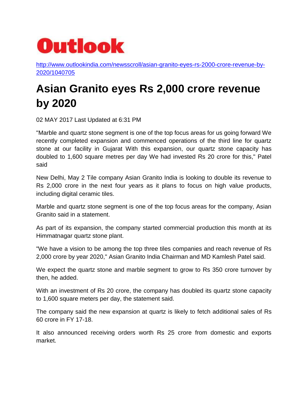![](_page_20_Picture_0.jpeg)

[http://www.outlookindia.com/newsscroll/asian-granito-eyes-rs-2000-crore-revenue-by-](http://www.outlookindia.com/newsscroll/asian-granito-eyes-rs-2000-crore-revenue-by-2020/1040705)[2020/1040705](http://www.outlookindia.com/newsscroll/asian-granito-eyes-rs-2000-crore-revenue-by-2020/1040705)

# **Asian Granito eyes Rs 2,000 crore revenue by 2020**

02 MAY 2017 Last Updated at 6:31 PM

"Marble and quartz stone segment is one of the top focus areas for us going forward We recently completed expansion and commenced operations of the third line for quartz stone at our facility in Gujarat With this expansion, our quartz stone capacity has doubled to 1,600 square metres per day We had invested Rs 20 crore for this," Patel said

New Delhi, May 2 Tile company Asian Granito India is looking to double its revenue to Rs 2,000 crore in the next four years as it plans to focus on high value products, including digital ceramic tiles.

Marble and quartz stone segment is one of the top focus areas for the company, Asian Granito said in a statement.

As part of its expansion, the company started commercial production this month at its Himmatnagar quartz stone plant.

"We have a vision to be among the top three tiles companies and reach revenue of Rs 2,000 crore by year 2020," Asian Granito India Chairman and MD Kamlesh Patel said.

We expect the quartz stone and marble segment to grow to Rs 350 crore turnover by then, he added.

With an investment of Rs 20 crore, the company has doubled its quartz stone capacity to 1,600 square meters per day, the statement said.

The company said the new expansion at quartz is likely to fetch additional sales of Rs 60 crore in FY 17-18.

It also announced receiving orders worth Rs 25 crore from domestic and exports market.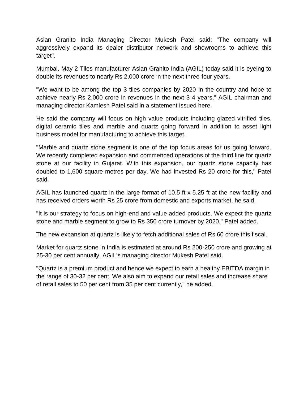Asian Granito India Managing Director Mukesh Patel said: "The company will aggressively expand its dealer distributor network and showrooms to achieve this target".

Mumbai, May 2 Tiles manufacturer Asian Granito India (AGIL) today said it is eyeing to double its revenues to nearly Rs 2,000 crore in the next three-four years.

"We want to be among the top 3 tiles companies by 2020 in the country and hope to achieve nearly Rs 2,000 crore in revenues in the next 3-4 years," AGIL chairman and managing director Kamlesh Patel said in a statement issued here.

He said the company will focus on high value products including glazed vitrified tiles, digital ceramic tiles and marble and quartz going forward in addition to asset light business model for manufacturing to achieve this target.

"Marble and quartz stone segment is one of the top focus areas for us going forward. We recently completed expansion and commenced operations of the third line for quartz stone at our facility in Gujarat. With this expansion, our quartz stone capacity has doubled to 1,600 square metres per day. We had invested Rs 20 crore for this," Patel said.

AGIL has launched quartz in the large format of 10.5 ft x 5.25 ft at the new facility and has received orders worth Rs 25 crore from domestic and exports market, he said.

"It is our strategy to focus on high-end and value added products. We expect the quartz stone and marble segment to grow to Rs 350 crore turnover by 2020," Patel added.

The new expansion at quartz is likely to fetch additional sales of Rs 60 crore this fiscal.

Market for quartz stone in India is estimated at around Rs 200-250 crore and growing at 25-30 per cent annually, AGIL's managing director Mukesh Patel said.

"Quartz is a premium product and hence we expect to earn a healthy EBITDA margin in the range of 30-32 per cent. We also aim to expand our retail sales and increase share of retail sales to 50 per cent from 35 per cent currently," he added.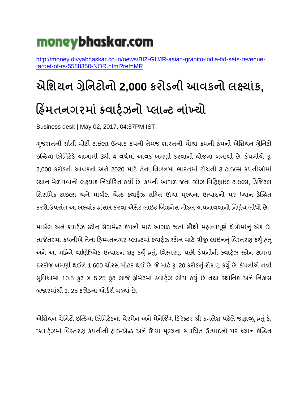# moneybhaskar.com

[http://money.divyabhaskar.co.in/news/BIZ-GUJR-asian-granito-india-ltd-sets-revenue](http://money.divyabhaskar.co.in/news/BIZ-GUJR-asian-granito-india-ltd-sets-revenue-target-of-rs-5588350-NOR.html?ref=MR)[target-of-rs-5588350-NOR.html?ref=MR](http://money.divyabhaskar.co.in/news/BIZ-GUJR-asian-granito-india-ltd-sets-revenue-target-of-rs-5588350-NOR.html?ref=MR)

# **એશિયન ગ્રેશનટોનો 2,000 કરોડની આવકનો લક્ષયયાંક, હ િંમતનગરમયાં ક્વયર્્ ટઝનો પ્લયન્ટ નયાંખ્યો**

Business desk | May 02, 2017, 04:57PM IST

ગજરાતની સૌથી મોટી ટાઇલ્સ ઉત્પાદ કંપની તેમજ ભારતની ચોથા ક્રમની કંપની એશિયન ગ્રેનિટો ઇન્ડિયા લિશમટેિેઆગામી 3થી 4 વર્ષમાં આવક બમણી કરવાની યોજના બનાવી છે. કંપનીએ રૂ. 2,000 કરોિની આવકનો અને2020 માટે તેના શવઝનમાં ભારતમાં ટોચની 3 ટાઇલ્સ કંપનીઓમાં સ્થાન મેળવવાનો લક્ષ્યાંક નિર્ધારિત કર્યો છે. કંપની આગળ જતાં ગ્લેઝ વિટ્રિફાઇડ ટાઇલ્સ, ડિજિટલ શસરાશમક ટાઇલ્સ અનેમાબષિ એડિ ક્વાર્ષટઝ સરિત ઊંચા મ ૂલ્યના ઉત્પાદનો પર ધ્યાન કેન્ડિત કરશે.ઉપરાંત આ લક્ષ્યાંક હાંસલ કરવા એસેટ લાઇટ બિઝનેસ મોડલ અપનાવવાનો નિર્ણય લીધો છે.

માર્બલ અને ક્વાર્ટ્ઝ સ્ટોન સેગમેન્ટ કંપની માટે આગળ જતાં સૌથી મહત્ત્વપૂર્ણ ક્ષેત્રોમાંનું એક છે. તાજેતરમાં કંપનીએ તેનાં હિમ્મતનગર પ્લાન્ટમાં ક્વાર્ટ્ઝ સ્ટોન માટે ત્રીજી લાઇનનું વિસ્તરણ કર્યું હતું અને આ મહિને વાણિજ્યિક ઉત્પાદન શરૂ કર્યું હતું. વિસ્તરણ પછી કંપનીની ક્વાર્ટ્ઝ સ્ટોન ક્ષમતા દરરોજ બમણી થઈને1,600 ચોરસ મીટર થઈ છે, જે માટેરૂ. 20 કરોિનુંરોકાણ કર્ુંુછે. કંપનીએ નવી સુવિધામાં 10.5 ફુટ X 5.25 ફુટ લાર્જ ફોર્મેટમાં ક્વાર્ટ્ઝ લોંચ કર્યું છે તથા સ્થાનિક અને નિકાસ બજારમાંથી રૂ. 25 કરોડનાં ઓર્ડર્સ મળ્યાં છે.

એશિયન ગ્રેનિટો ઇન્ડિયા લિમિટેડના ચેરમેન અને મેનેજિંગ ડિરેક્ટર શ્રી કમલેશ પટેલે જણાવ્યું હતું કે, "ક્વાર્ટ્ઝમાં વિસ્તરણ કંપનીની હાઇ-એન્ડ અને ઊંચા મૂલ્યના સંવર્ધિત ઉત્પાદનો પર ધ્યાન કેન્પ્રિત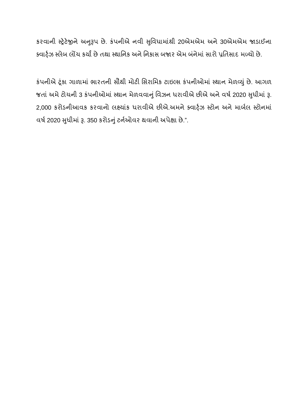કરવાની સ્ટ્રેટેજીને અનુરૂપ છે. કંપનીએ નવી સુવિધામાંથી 20એમએમ અને 30એમએમ જાડાઈના ક્વાર્ટ્ઝ સ્લેબ લોંચ કર્યાં છે તથા સ્થાનિક અને નિકાસ બજાર એમ બંનેમાં સારો પ્રતિસાદ મળ્યો છે.

કંપનીએ ર્ંકૂ ા ગાળામાં ભારતની સૌથી મોટી શસરાશમક ટાઇલ્સ કંપનીઓમાં સ્થાન મેળવર્ું છે. આગળ જતાં અમે ટોચની 3 કંપનીઓમાં સ્થાન મેળવવાનું વિઝન ધરાવીએ છીએ અને વર્ષ 2020 સુધીમાં રૂ. 2,000 કરોિનીઆવક કરવાનો િક્ષયાંક ર્રાવીએ છીએ.અમનેક્વાર્ષટઝ સ્ટોન અનેમાબષિ સ્ટોનમાં વર્ષ 2020 સુધીમાં રૂ. 350 કરોડનું ટર્નઓવર થવાની અપેક્ષા છે.".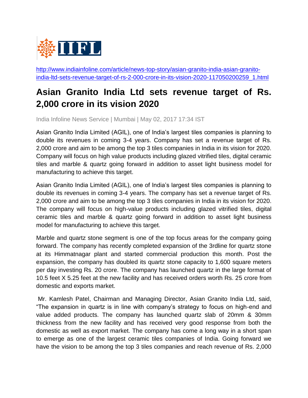![](_page_24_Picture_0.jpeg)

[http://www.indiainfoline.com/article/news-top-story/asian-granito-india-asian-granito](http://www.indiainfoline.com/article/news-top-story/asian-granito-india-asian-granito-india-ltd-sets-revenue-target-of-rs-2-000-crore-in-its-vision-2020-117050200259_1.html)[india-ltd-sets-revenue-target-of-rs-2-000-crore-in-its-vision-2020-117050200259\\_1.html](http://www.indiainfoline.com/article/news-top-story/asian-granito-india-asian-granito-india-ltd-sets-revenue-target-of-rs-2-000-crore-in-its-vision-2020-117050200259_1.html)

#### **Asian Granito India Ltd sets revenue target of Rs. 2,000 crore in its vision 2020**

India Infoline News Service | Mumbai | May 02, 2017 17:34 IST

Asian Granito India Limited (AGIL), one of India's largest tiles companies is planning to double its revenues in coming 3-4 years. Company has set a revenue target of Rs. 2,000 crore and aim to be among the top 3 tiles companies in India in its vision for 2020. Company will focus on high value products including glazed vitrified tiles, digital ceramic tiles and marble & quartz going forward in addition to asset light business model for manufacturing to achieve this target.

Asian Granito India Limited (AGIL), one of India's largest tiles companies is planning to double its revenues in coming 3-4 years. The company has set a revenue target of Rs. 2,000 crore and aim to be among the top 3 tiles companies in India in its vision for 2020. The company will focus on high-value products including glazed vitrified tiles, digital ceramic tiles and marble & quartz going forward in addition to asset light business model for manufacturing to achieve this target.

Marble and quartz stone segment is one of the top focus areas for the company going forward. The company has recently completed expansion of the 3rdline for quartz stone at its Himmatnagar plant and started commercial production this month. Post the expansion, the company has doubled its quartz stone capacity to 1,600 square meters per day investing Rs. 20 crore. The company has launched quartz in the large format of 10.5 feet X 5.25 feet at the new facility and has received orders worth Rs. 25 crore from domestic and exports market.

Mr. Kamlesh Patel, Chairman and Managing Director, Asian Granito India Ltd, said, "The expansion in quartz is in line with company's strategy to focus on high-end and value added products. The company has launched quartz slab of 20mm & 30mm thickness from the new facility and has received very good response from both the domestic as well as export market. The company has come a long way in a short span to emerge as one of the largest ceramic tiles companies of India. Going forward we have the vision to be among the top 3 tiles companies and reach revenue of Rs. 2,000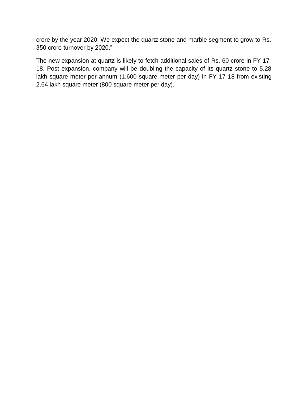crore by the year 2020. We expect the quartz stone and marble segment to grow to Rs. 350 crore turnover by 2020."

The new expansion at quartz is likely to fetch additional sales of Rs. 60 crore in FY 17- 18. Post expansion, company will be doubling the capacity of its quartz stone to 5.28 lakh square meter per annum (1,600 square meter per day) in FY 17-18 from existing 2.64 lakh square meter (800 square meter per day).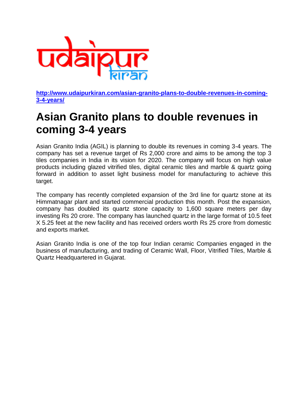![](_page_26_Picture_0.jpeg)

**[http://www.udaipurkiran.com/asian-granito-plans-to-double-revenues-in-coming-](http://www.udaipurkiran.com/asian-granito-plans-to-double-revenues-in-coming-3-4-years/)[3-4-years/](http://www.udaipurkiran.com/asian-granito-plans-to-double-revenues-in-coming-3-4-years/)**

### **Asian Granito plans to double revenues in coming 3-4 years**

Asian Granito India (AGIL) is planning to double its revenues in coming 3-4 years. The company has set a revenue target of Rs 2,000 crore and aims to be among the top 3 tiles companies in India in its vision for 2020. The company will focus on high value products including glazed vitrified tiles, digital ceramic tiles and marble & quartz going forward in addition to asset light business model for manufacturing to achieve this target.

The company has recently completed expansion of the 3rd line for quartz stone at its Himmatnagar plant and started commercial production this month. Post the expansion, company has doubled its quartz stone capacity to 1,600 square meters per day investing Rs 20 crore. The company has launched quartz in the large format of 10.5 feet X 5.25 feet at the new facility and has received orders worth Rs 25 crore from domestic and exports market.

Asian Granito India is one of the top four Indian ceramic Companies engaged in the business of manufacturing, and trading of Ceramic Wall, Floor, Vitrified Tiles, Marble & Quartz Headquartered in Gujarat.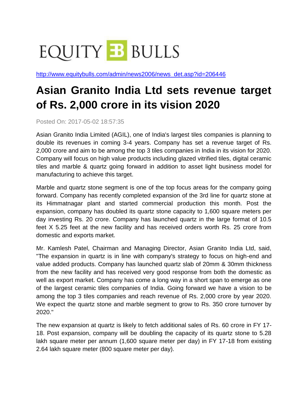# **EQUITY B BULLS**

[http://www.equitybulls.com/admin/news2006/news\\_det.asp?id=206446](http://www.equitybulls.com/admin/news2006/news_det.asp?id=206446)

# **Asian Granito India Ltd sets revenue target of Rs. 2,000 crore in its vision 2020**

Posted On: 2017-05-02 18:57:35

Asian Granito India Limited (AGIL), one of India's largest tiles companies is planning to double its revenues in coming 3-4 years. Company has set a revenue target of Rs. 2,000 crore and aim to be among the top 3 tiles companies in India in its vision for 2020. Company will focus on high value products including glazed vitrified tiles, digital ceramic tiles and marble & quartz going forward in addition to asset light business model for manufacturing to achieve this target.

Marble and quartz stone segment is one of the top focus areas for the company going forward. Company has recently completed expansion of the 3rd line for quartz stone at its Himmatnagar plant and started commercial production this month. Post the expansion, company has doubled its quartz stone capacity to 1,600 square meters per day investing Rs. 20 crore. Company has launched quartz in the large format of 10.5 feet X 5.25 feet at the new facility and has received orders worth Rs. 25 crore from domestic and exports market.

Mr. Kamlesh Patel, Chairman and Managing Director, Asian Granito India Ltd, said, "The expansion in quartz is in line with company's strategy to focus on high-end and value added products. Company has launched quartz slab of 20mm & 30mm thickness from the new facility and has received very good response from both the domestic as well as export market. Company has come a long way in a short span to emerge as one of the largest ceramic tiles companies of India. Going forward we have a vision to be among the top 3 tiles companies and reach revenue of Rs. 2,000 crore by year 2020. We expect the quartz stone and marble segment to grow to Rs. 350 crore turnover by 2020."

The new expansion at quartz is likely to fetch additional sales of Rs. 60 crore in FY 17- 18. Post expansion, company will be doubling the capacity of its quartz stone to 5.28 lakh square meter per annum (1,600 square meter per day) in FY 17-18 from existing 2.64 lakh square meter (800 square meter per day).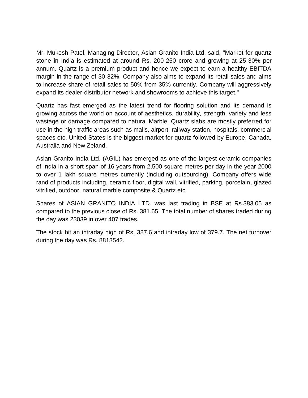Mr. Mukesh Patel, Managing Director, Asian Granito India Ltd, said, "Market for quartz stone in India is estimated at around Rs. 200-250 crore and growing at 25-30% per annum. Quartz is a premium product and hence we expect to earn a healthy EBITDA margin in the range of 30-32%. Company also aims to expand its retail sales and aims to increase share of retail sales to 50% from 35% currently. Company will aggressively expand its dealer-distributor network and showrooms to achieve this target."

Quartz has fast emerged as the latest trend for flooring solution and its demand is growing across the world on account of aesthetics, durability, strength, variety and less wastage or damage compared to natural Marble. Quartz slabs are mostly preferred for use in the high traffic areas such as malls, airport, railway station, hospitals, commercial spaces etc. United States is the biggest market for quartz followed by Europe, Canada, Australia and New Zeland.

Asian Granito India Ltd. (AGIL) has emerged as one of the largest ceramic companies of India in a short span of 16 years from 2,500 square metres per day in the year 2000 to over 1 lakh square metres currently (including outsourcing). Company offers wide rand of products including, ceramic floor, digital wall, vitrified, parking, porcelain, glazed vitrified, outdoor, natural marble composite & Quartz etc.

Shares of ASIAN GRANITO INDIA LTD. was last trading in BSE at Rs.383.05 as compared to the previous close of Rs. 381.65. The total number of shares traded during the day was 23039 in over 407 trades.

The stock hit an intraday high of Rs. 387.6 and intraday low of 379.7. The net turnover during the day was Rs. 8813542.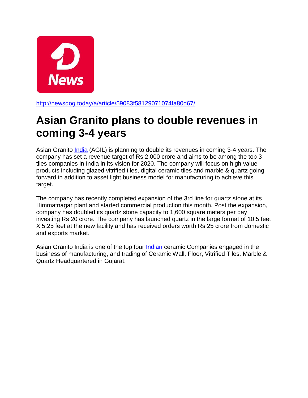![](_page_29_Picture_0.jpeg)

<http://newsdog.today/a/article/59083f58129071074fa80d67/>

# **Asian Granito plans to double revenues in coming 3-4 years**

Asian Granito [India](http://m.onelink.me/eea774fe) (AGIL) is planning to double its revenues in coming 3-4 years. The company has set a revenue target of Rs 2,000 crore and aims to be among the top 3 tiles companies in India in its vision for 2020. The company will focus on high value products including glazed vitrified tiles, digital ceramic tiles and marble & quartz going forward in addition to asset light business model for manufacturing to achieve this target.

The company has recently completed expansion of the 3rd line for quartz stone at its Himmatnagar plant and started commercial production this month. Post the expansion, company has doubled its quartz stone capacity to 1,600 square meters per day investing Rs 20 crore. The company has launched quartz in the large format of 10.5 feet X 5.25 feet at the new facility and has received orders worth Rs 25 crore from domestic and exports market.

Asian Granito India is one of the top four [Indian](http://m.onelink.me/eea774fe) ceramic Companies engaged in the business of manufacturing, and trading of Ceramic Wall, Floor, Vitrified Tiles, Marble & Quartz Headquartered in Gujarat.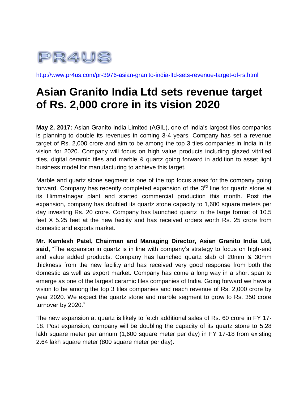![](_page_30_Picture_0.jpeg)

<http://www.pr4us.com/pr-3976-asian-granito-india-ltd-sets-revenue-target-of-rs.html>

# **Asian Granito India Ltd sets revenue target of Rs. 2,000 crore in its vision 2020**

**May 2, 2017:** Asian Granito India Limited (AGIL), one of India's largest tiles companies is planning to double its revenues in coming 3-4 years. Company has set a revenue target of Rs. 2,000 crore and aim to be among the top 3 tiles companies in India in its vision for 2020. Company will focus on high value products including glazed vitrified tiles, digital ceramic tiles and marble & quartz going forward in addition to asset light business model for manufacturing to achieve this target.

Marble and quartz stone segment is one of the top focus areas for the company going forward. Company has recently completed expansion of the 3<sup>rd</sup> line for quartz stone at its Himmatnagar plant and started commercial production this month. Post the expansion, company has doubled its quartz stone capacity to 1,600 square meters per day investing Rs. 20 crore. Company has launched quartz in the large format of 10.5 feet X 5.25 feet at the new facility and has received orders worth Rs. 25 crore from domestic and exports market.

**Mr. Kamlesh Patel, Chairman and Managing Director, Asian Granito India Ltd, said,** "The expansion in quartz is in line with company's strategy to focus on high-end and value added products. Company has launched quartz slab of 20mm & 30mm thickness from the new facility and has received very good response from both the domestic as well as export market. Company has come a long way in a short span to emerge as one of the largest ceramic tiles companies of India. Going forward we have a vision to be among the top 3 tiles companies and reach revenue of Rs. 2,000 crore by year 2020. We expect the quartz stone and marble segment to grow to Rs. 350 crore turnover by 2020."

The new expansion at quartz is likely to fetch additional sales of Rs. 60 crore in FY 17- 18. Post expansion, company will be doubling the capacity of its quartz stone to 5.28 lakh square meter per annum (1,600 square meter per day) in FY 17-18 from existing 2.64 lakh square meter (800 square meter per day).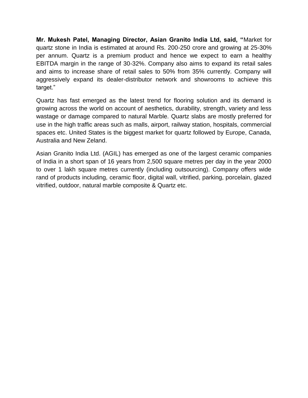**Mr. Mukesh Patel, Managing Director, Asian Granito India Ltd, said, "**Market for quartz stone in India is estimated at around Rs. 200-250 crore and growing at 25-30% per annum. Quartz is a premium product and hence we expect to earn a healthy EBITDA margin in the range of 30-32%. Company also aims to expand its retail sales and aims to increase share of retail sales to 50% from 35% currently. Company will aggressively expand its dealer-distributor network and showrooms to achieve this target."

Quartz has fast emerged as the latest trend for flooring solution and its demand is growing across the world on account of aesthetics, durability, strength, variety and less wastage or damage compared to natural Marble. Quartz slabs are mostly preferred for use in the high traffic areas such as malls, airport, railway station, hospitals, commercial spaces etc. United States is the biggest market for quartz followed by Europe, Canada, Australia and New Zeland.

Asian Granito India Ltd. (AGIL) has emerged as one of the largest ceramic companies of India in a short span of 16 years from 2,500 square metres per day in the year 2000 to over 1 lakh square metres currently (including outsourcing). Company offers wide rand of products including, ceramic floor, digital wall, vitrified, parking, porcelain, glazed vitrified, outdoor, natural marble composite & Quartz etc.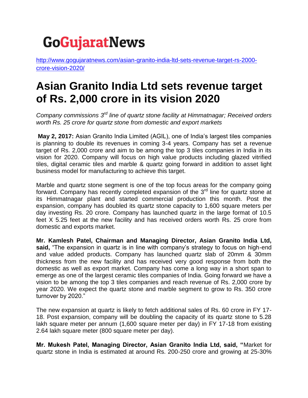# **GoGujaratNews**

[http://www.gogujaratnews.com/asian-granito-india-ltd-sets-revenue-target-rs-2000](http://www.gogujaratnews.com/asian-granito-india-ltd-sets-revenue-target-rs-2000-crore-vision-2020/) [crore-vision-2020/](http://www.gogujaratnews.com/asian-granito-india-ltd-sets-revenue-target-rs-2000-crore-vision-2020/)

### **Asian Granito India Ltd sets revenue target of Rs. 2,000 crore in its vision 2020**

*Company commissions 3rd line of quartz stone facility at Himmatnagar; Received orders worth Rs. 25 crore for quartz stone from domestic and export markets*

**May 2, 2017:** Asian Granito India Limited (AGIL), one of India's largest tiles companies is planning to double its revenues in coming 3-4 years. Company has set a revenue target of Rs. 2,000 crore and aim to be among the top 3 tiles companies in India in its vision for 2020. Company will focus on high value products including glazed vitrified tiles, digital ceramic tiles and marble & quartz going forward in addition to asset light business model for manufacturing to achieve this target.

Marble and quartz stone segment is one of the top focus areas for the company going forward. Company has recently completed expansion of the  $3<sup>rd</sup>$  line for quartz stone at its Himmatnagar plant and started commercial production this month. Post the expansion, company has doubled its quartz stone capacity to 1,600 square meters per day investing Rs. 20 crore. Company has launched quartz in the large format of 10.5 feet X 5.25 feet at the new facility and has received orders worth Rs. 25 crore from domestic and exports market.

**Mr. Kamlesh Patel, Chairman and Managing Director, Asian Granito India Ltd, said,** "The expansion in quartz is in line with company's strategy to focus on high-end and value added products. Company has launched quartz slab of 20mm & 30mm thickness from the new facility and has received very good response from both the domestic as well as export market. Company has come a long way in a short span to emerge as one of the largest ceramic tiles companies of India. Going forward we have a vision to be among the top 3 tiles companies and reach revenue of Rs. 2,000 crore by year 2020. We expect the quartz stone and marble segment to grow to Rs. 350 crore turnover by 2020."

The new expansion at quartz is likely to fetch additional sales of Rs. 60 crore in FY 17- 18. Post expansion, company will be doubling the capacity of its quartz stone to 5.28 lakh square meter per annum (1,600 square meter per day) in FY 17-18 from existing 2.64 lakh square meter (800 square meter per day).

**Mr. Mukesh Patel, Managing Director, Asian Granito India Ltd, said, "**Market for quartz stone in India is estimated at around Rs. 200-250 crore and growing at 25-30%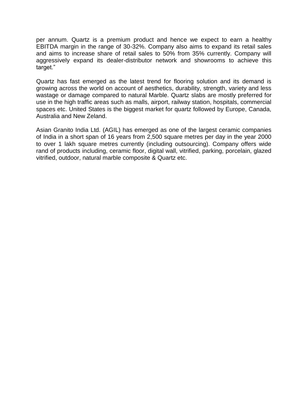per annum. Quartz is a premium product and hence we expect to earn a healthy EBITDA margin in the range of 30-32%. Company also aims to expand its retail sales and aims to increase share of retail sales to 50% from 35% currently. Company will aggressively expand its dealer-distributor network and showrooms to achieve this target."

Quartz has fast emerged as the latest trend for flooring solution and its demand is growing across the world on account of aesthetics, durability, strength, variety and less wastage or damage compared to natural Marble. Quartz slabs are mostly preferred for use in the high traffic areas such as malls, airport, railway station, hospitals, commercial spaces etc. United States is the biggest market for quartz followed by Europe, Canada, Australia and New Zeland.

Asian Granito India Ltd. (AGIL) has emerged as one of the largest ceramic companies of India in a short span of 16 years from 2,500 square metres per day in the year 2000 to over 1 lakh square metres currently (including outsourcing). Company offers wide rand of products including, ceramic floor, digital wall, vitrified, parking, porcelain, glazed vitrified, outdoor, natural marble composite & Quartz etc.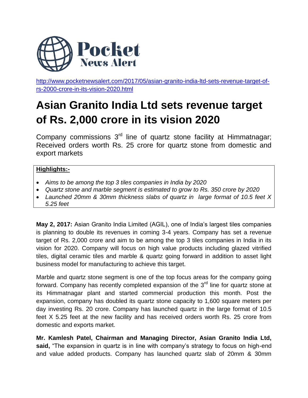![](_page_34_Picture_0.jpeg)

[http://www.pocketnewsalert.com/2017/05/asian-granito-india-ltd-sets-revenue-target-of](http://www.pocketnewsalert.com/2017/05/asian-granito-india-ltd-sets-revenue-target-of-rs-2000-crore-in-its-vision-2020.html)[rs-2000-crore-in-its-vision-2020.html](http://www.pocketnewsalert.com/2017/05/asian-granito-india-ltd-sets-revenue-target-of-rs-2000-crore-in-its-vision-2020.html)

# **Asian Granito India Ltd sets revenue target of Rs. 2,000 crore in its vision 2020**

Company commissions 3<sup>rd</sup> line of quartz stone facility at Himmatnagar; Received orders worth Rs. 25 crore for quartz stone from domestic and export markets

#### **Highlights:-**

- *Aims to be among the top 3 tiles companies in India by 2020*
- *Quartz stone and marble segment is estimated to grow to Rs. 350 crore by 2020*
- *Launched 20mm & 30mm thickness slabs of quartz in large format of 10.5 feet X 5.25 feet*

**May 2, 2017:** Asian Granito India Limited (AGIL), one of India's largest tiles companies is planning to double its revenues in coming 3-4 years. Company has set a revenue target of Rs. 2,000 crore and aim to be among the top 3 tiles companies in India in its vision for 2020. Company will focus on high value products including glazed vitrified tiles, digital ceramic tiles and marble & quartz going forward in addition to asset light business model for manufacturing to achieve this target.

Marble and quartz stone segment is one of the top focus areas for the company going forward. Company has recently completed expansion of the  $3<sup>rd</sup>$  line for quartz stone at its Himmatnagar plant and started commercial production this month. Post the expansion, company has doubled its quartz stone capacity to 1,600 square meters per day investing Rs. 20 crore. Company has launched quartz in the large format of 10.5 feet X 5.25 feet at the new facility and has received orders worth Rs. 25 crore from domestic and exports market.

**Mr. Kamlesh Patel, Chairman and Managing Director, Asian Granito India Ltd, said,** "The expansion in quartz is in line with company's strategy to focus on high-end and value added products. Company has launched quartz slab of 20mm & 30mm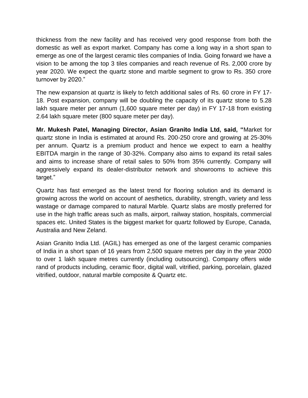thickness from the new facility and has received very good response from both the domestic as well as export market. Company has come a long way in a short span to emerge as one of the largest ceramic tiles companies of India. Going forward we have a vision to be among the top 3 tiles companies and reach revenue of Rs. 2,000 crore by year 2020. We expect the quartz stone and marble segment to grow to Rs. 350 crore turnover by 2020."

The new expansion at quartz is likely to fetch additional sales of Rs. 60 crore in FY 17- 18. Post expansion, company will be doubling the capacity of its quartz stone to 5.28 lakh square meter per annum (1,600 square meter per day) in FY 17-18 from existing 2.64 lakh square meter (800 square meter per day).

**Mr. Mukesh Patel, Managing Director, Asian Granito India Ltd, said, "**Market for quartz stone in India is estimated at around Rs. 200-250 crore and growing at 25-30% per annum. Quartz is a premium product and hence we expect to earn a healthy EBITDA margin in the range of 30-32%. Company also aims to expand its retail sales and aims to increase share of retail sales to 50% from 35% currently. Company will aggressively expand its dealer-distributor network and showrooms to achieve this target."

Quartz has fast emerged as the latest trend for flooring solution and its demand is growing across the world on account of aesthetics, durability, strength, variety and less wastage or damage compared to natural Marble. Quartz slabs are mostly preferred for use in the high traffic areas such as malls, airport, railway station, hospitals, commercial spaces etc. United States is the biggest market for quartz followed by Europe, Canada, Australia and New Zeland.

Asian Granito India Ltd. (AGIL) has emerged as one of the largest ceramic companies of India in a short span of 16 years from 2,500 square metres per day in the year 2000 to over 1 lakh square metres currently (including outsourcing). Company offers wide rand of products including, ceramic floor, digital wall, vitrified, parking, porcelain, glazed vitrified, outdoor, natural marble composite & Quartz etc.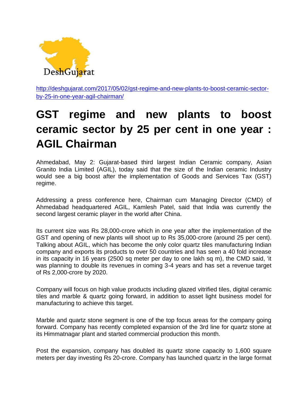![](_page_36_Picture_0.jpeg)

[http://deshgujarat.com/2017/05/02/gst-regime-and-new-plants-to-boost-ceramic-sector](http://deshgujarat.com/2017/05/02/gst-regime-and-new-plants-to-boost-ceramic-sector-by-25-in-one-year-agil-chairman/)[by-25-in-one-year-agil-chairman/](http://deshgujarat.com/2017/05/02/gst-regime-and-new-plants-to-boost-ceramic-sector-by-25-in-one-year-agil-chairman/)

# **GST regime and new plants to boost ceramic sector by 25 per cent in one year : AGIL Chairman**

Ahmedabad, May 2: Gujarat-based third largest Indian Ceramic company, Asian Granito India Limited (AGIL), today said that the size of the Indian ceramic Industry would see a big boost after the implementation of Goods and Services Tax (GST) regime.

Addressing a press conference here, Chairman cum Managing Director (CMD) of Ahmedabad headquartered AGIL, Kamlesh Patel, said that India was currently the second largest ceramic player in the world after China.

Its current size was Rs 28,000-crore which in one year after the implementation of the GST and opening of new plants will shoot up to Rs 35,000-crore (around 25 per cent). Talking about AGIL, which has become the only color quartz tiles manufacturing Indian company and exports its products to over 50 countries and has seen a 40 fold increase in its capacity in 16 years (2500 sq meter per day to one lakh sq m), the CMD said, 'it was planning to double its revenues in coming 3-4 years and has set a revenue target of Rs 2,000-crore by 2020.

Company will focus on high value products including glazed vitrified tiles, digital ceramic tiles and marble & quartz going forward, in addition to asset light business model for manufacturing to achieve this target.

Marble and quartz stone segment is one of the top focus areas for the company going forward. Company has recently completed expansion of the 3rd line for quartz stone at its Himmatnagar plant and started commercial production this month.

Post the expansion, company has doubled its quartz stone capacity to 1,600 square meters per day investing Rs 20-crore. Company has launched quartz in the large format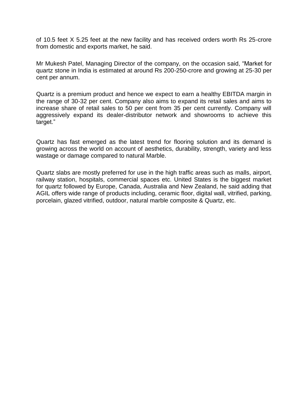of 10.5 feet X 5.25 feet at the new facility and has received orders worth Rs 25-crore from domestic and exports market, he said.

Mr Mukesh Patel, Managing Director of the company, on the occasion said, "Market for quartz stone in India is estimated at around Rs 200-250-crore and growing at 25-30 per cent per annum.

Quartz is a premium product and hence we expect to earn a healthy EBITDA margin in the range of 30-32 per cent. Company also aims to expand its retail sales and aims to increase share of retail sales to 50 per cent from 35 per cent currently. Company will aggressively expand its dealer-distributor network and showrooms to achieve this target."

Quartz has fast emerged as the latest trend for flooring solution and its demand is growing across the world on account of aesthetics, durability, strength, variety and less wastage or damage compared to natural Marble.

Quartz slabs are mostly preferred for use in the high traffic areas such as malls, airport, railway station, hospitals, commercial spaces etc. United States is the biggest market for quartz followed by Europe, Canada, Australia and New Zealand, he said adding that AGIL offers wide range of products including, ceramic floor, digital wall, vitrified, parking, porcelain, glazed vitrified, outdoor, natural marble composite & Quartz, etc.